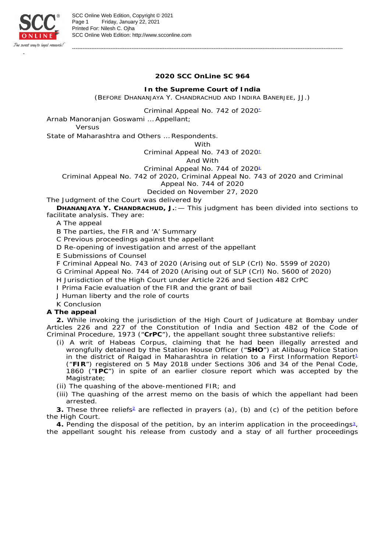

**2020 SCC OnLine SC 964**

-----------------------------------------------------------------------------------------------------------------------------------------------------------

**In the Supreme Court of India** (BEFORE DHANANJAYA Y. CHANDRACHUD AND INDIRA BANERJEE, JJ.)

Criminal Appeal No. 742 of 2020<sup>\*</sup>

Arnab Manoranian Goswami ... Appellant:

*Versus*

State of Maharashtra and Others … Respondents.

With

Criminal Appeal No. 743 of 2020<sup>±</sup>

And With

Criminal Appeal No. 744 of 2020<sup>±</sup>

Criminal Appeal No. 742 of 2020, Criminal Appeal No. 743 of 2020 and Criminal

Appeal No. 744 of 2020

Decided on November 27, 2020

The Judgment of the Court was delivered by

**DHANANJAYA Y. CHANDRACHUD, J.**:— This judgment has been divided into sections to facilitate analysis. They are:

A The appeal

B The parties, the FIR and 'A' Summary

C Previous proceedings against the appellant

D Re-opening of investigation and arrest of the appellant

E Submissions of Counsel

F Criminal Appeal No. 743 of 2020 (Arising out of SLP (Crl) No. 5599 of 2020)

G Criminal Appeal No. 744 of 2020 (Arising out of SLP (Crl) No. 5600 of 2020)

H Jurisdiction of the High Court under Article 226 and Section 482 CrPC

I *Prima Facie* evaluation of the FIR and the grant of bail

J Human liberty and the role of courts

K Conclusion

**A The appeal**

**2.** While invoking the jurisdiction of the High Court of Judicature at Bombay under Articles 226 and 227 of the Constitution of India and Section 482 of the Code of Criminal Procedure, 1973 ("**CrPC**"), the appellant sought three substantive reliefs:

(i) A writ of Habeas Corpus, claiming that he had been illegally arrested and wrongfully detained by the Station House Officer ("**SHO**") at Alibaug Police Station in the district of Raigad in Maharashtra in relation to a First Information Report<sup>1</sup> ("**FIR**") registered on 5 May 2018 under Sections 306 and 34 of the Penal Code, 1860 ("**IPC**") in spite of an earlier closure report which was accepted by the Magistrate;

(ii) The quashing of the above-mentioned FIR; and

(iii) The quashing of the arrest memo on the basis of which the appellant had been arrested.

3. These three reliefs<sup>2</sup> are reflected in prayers (a), (b) and (c) of the petition before the High Court.

4. Pending the disposal of the petition, by an interim application in the proceedings<sup>2</sup>, the appellant sought his release from custody and a stay of all further proceedings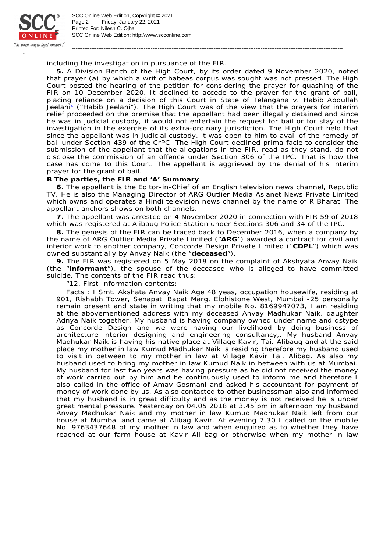

SCC Online Web Edition: http://www.scconline.com Printed For: Nilesh C. Ojha Page 2 Friday, January 22, 2021 SCC Online Web Edition, Copyright © 2021

including the investigation in pursuance of the FIR.

**5.** A Division Bench of the High Court, by its order dated 9 November 2020, noted that prayer (a) by which a writ of habeas corpus was sought was not pressed. The High Court posted the hearing of the petition for considering the prayer for quashing of the FIR on 10 December 2020. It declined to accede to the prayer for the grant of bail, placing reliance on a decision of this Court in *State of Telangana* v. *Habib Abdullah*  Jeelan<sup><sub>†</sub></sup> ("Habib Jeelani"). The High Court was of the view that the prayers for interim relief proceeded on the premise that the appellant had been illegally detained and since he was in judicial custody, it would not entertain the request for bail or for stay of the investigation in the exercise of its extra-ordinary jurisdiction. The High Court held that since the appellant was in judicial custody, it was open to him to avail of the remedy of bail under Section 439 of the CrPC. The High Court declined *prima facie* to consider the submission of the appellant that the allegations in the FIR, read as they stand, do not disclose the commission of an offence under Section 306 of the IPC. That is how the case has come to this Court. The appellant is aggrieved by the denial of his interim prayer for the grant of bail.

-----------------------------------------------------------------------------------------------------------------------------------------------------------

## **B The parties, the FIR and 'A' Summary**

**6.** The appellant is the Editor-in-Chief of an English television news channel, Republic TV. He is also the Managing Director of ARG Outlier Media Asianet News Private Limited which owns and operates a Hindi television news channel by the name of R Bharat. The appellant anchors shows on both channels.

**7.** The appellant was arrested on 4 November 2020 in connection with FIR 59 of 2018 which was registered at Alibaug Police Station under Sections 306 and 34 of the IPC.

**8.** The genesis of the FIR can be traced back to December 2016, when a company by the name of ARG Outlier Media Private Limited ("**ARG**") awarded a contract for civil and interior work to another company, Concorde Design Private Limited ("**CDPL**") which was owned substantially by Anvay Naik (the "**deceased**").

**9.** The FIR was registered on 5 May 2018 on the complaint of Akshyata Anvay Naik (the "**informant**"), the spouse of the deceased who is alleged to have committed suicide. The contents of the FIR read thus:

"12. First Information contents:

Facts : I Smt. Akshata Anvay Naik Age 48 yeas, occupation housewife, residing at 901, Rishabh Tower, Senapati Bapat Marg, Elphistone West, Mumbai -25 personally remain present and state in writing that my mobile No. 8169947073, I am residing at the abovementioned address with my deceased Anvay Madhukar Naik, daughter Adnya Naik together. My husband is having company owned under name and dstype as Concorde Design and we were having our livelihood by doing business of architecture interior designing and engineering consultancy,. My husband Anvay Madhukar Naik is having his native place at Village Kavir, Tai. Alibaug and at the said place my mother in law Kumud Madhukar Naik is residing therefore my husband used to visit in between to my mother in law at Village Kavir Tai. Alibag. As also my husband used to bring my mother in law Kumud Naik in between with us at Mumbai. My husband for last two years was having pressure as he did not received the money of work carried out by him and he continuously used to inform me and therefore I also called in the office of Amav Gosmani and asked his accountant for payment of money of work done by us. As also contacted to other businessman also and informed that my husband is in great difficulty and as the money is not received he is under great mental pressure. Yesterday on 04.05.2018 at 3.45 pm in afternoon my husband Anvay Madhukar Naik and my mother in law Kumud Madhukar Naik left from our house at Mumbai and came at Alibag Kavir. At evening 7.30 I called on the mobile No. 9763437648 of my mother in law and when enquired as to whether they have reached at our farm house at Kavir Ali bag or otherwise when my mother in law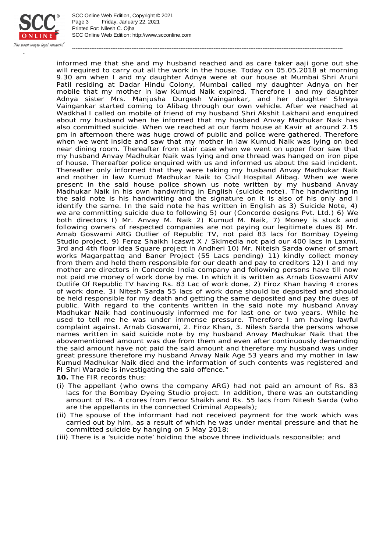

SCC Online Web Edition: http://www.scconline.com Printed For: Nilesh C. Ojha Page 3 Friday, January 22, 2021 SCC Online Web Edition, Copyright © 2021

informed me that she and my husband reached and as care taker aaji gone out she will required to carry out all the work in the house. Today on 05.05.2018 at morning 9.30 am when I and my daughter Adnya were at our house at Mumbai Shri Aruni Patil residing at Dadar Hindu Colony, Mumbai called my daughter Adnya on her mobile that my mother in law Kumud Naik expired. Therefore I and my daughter Adnya sister Mrs. Manjusha Durgesh Vaingankar, and her daughter Shreya Vaingankar started coming to Alibag through our own vehicle. After we reached at Wadkhal I called on mobile of friend of my husband Shri Akshit Lakhani and enquired about my husband when he informed that my husband Anvay Madhukar Naik has also committed suicide. When we reached at our farm house at Kavir at around 2.15 pm in afternoon there was huge crowd of public and police were gathered. Therefore when we went inside and saw that my mother in law Kumud Naik was lying on bed near dining room. Thereafter from stair case when we went on upper floor saw that my husband Anvay Madhukar Naik was lying and one thread was hanged on iron pipe of house. Thereafter police enquired with us and informed us about the said incident. Thereafter only informed that they were taking my husband Anvay Madhukar Naik and mother in law Kumud Madhukar Naik to Civil Hospital Alibag. When we were present in the said house police shown us note written by my husband Anvay Madhukar Naik in his own handwriting in English (suicide note). The handwriting in the said note is his handwriting and the signature on it is also of his only and l identify the same. In the said note he has written in English as 3) Suicide Note, 4) we are committing suicide due to following 5) our (Concorde designs Pvt. Ltd.) 6) We both directors I) Mr. Anvay M. Naik 2) Kumud M. Naik, 7) Money is stuck and following owners of respected companies are not paying our legitimate dues 8) Mr. Amab Goswami ARG Outlier of Republic TV, not paid 83 lacs for Bombay Dyeing Studio project, 9) Feroz Shaikh Icaswt X / Skimedia not paid our 400 lacs in Laxmi, 3rd and 4th floor idea Square project in Andheri 10) Mr. Niteish Sarda owner of smart works Magarpattaq and Baner Project (55 Lacs pending) 11) kindly collect money from them and held them responsible for our death and pay to creditors 12) I and my mother are directors in Concorde India company and following persons have till now not paid me money of work done by me. In which it is written as Arnab Goswami ARV Outlife Of Republic TV having Rs. 83 Lac of work done, 2) Firoz Khan having 4 crores of work done, 3) Nitesh Sarda 55 lacs of work done should be deposited and should be held responsible for my death and getting the same deposited and pay the dues of public. With regard to the contents written in the said note my husband Anvay Madhukar Naik had continuously informed me for last one or two years. While he used to tell me he was under immense pressure. Therefore I am having lawful complaint against. Arnab Goswami, 2. Firoz Khan, 3. Nilesh Sarda the persons whose names written in said suicide note by my husband Anvay Madhukar Naik that the abovementioned amount was due from them and even after continuously demanding the said amount have not paid the said amount and therefore my husband was under great pressure therefore my husband Anvay Naik Age 53 years and my mother in law Kumud Madhukar Naik died and the information of such contents was registered and PI Shri Warade is investigating the said offence."

-----------------------------------------------------------------------------------------------------------------------------------------------------------

- **10.** The FIR records thus:
- (i) The appellant (who owns the company ARG) had not paid an amount of Rs. 83 lacs for the Bombay Dyeing Studio project. In addition, there was an outstanding amount of Rs. 4 crores from Feroz Shaikh and Rs. 55 lacs from Nitesh Sarda (who are the appellants in the connected Criminal Appeals);
- (ii) The spouse of the informant had not received payment for the work which was carried out by him, as a result of which he was under mental pressure and that he committed suicide by hanging on 5 May 2018;
- (iii) There is a 'suicide note' holding the above three individuals responsible; and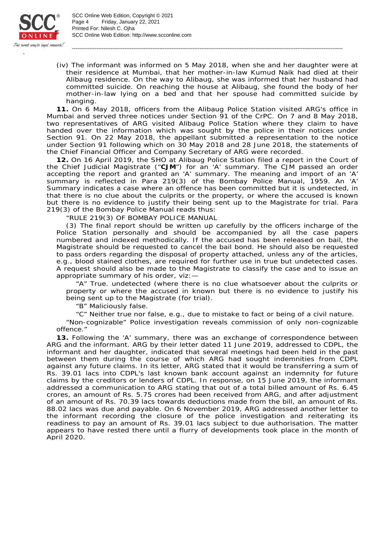

SCC Online Web Edition: http://www.scconline.com Printed For: Nilesh C. Ojha Page 4 Friday, January 22, 2021 SCC Online Web Edition, Copyright © 2021

(iv) The informant was informed on 5 May 2018, when she and her daughter were at their residence at Mumbai, that her mother-in-law Kumud Naik had died at their Alibaug residence. On the way to Alibaug, she was informed that her husband had committed suicide. On reaching the house at Alibaug, she found the body of her mother-in-law lying on a bed and that her spouse had committed suicide by hanging.

-----------------------------------------------------------------------------------------------------------------------------------------------------------

**11.** On 6 May 2018, officers from the Alibaug Police Station visited ARG's office in Mumbai and served three notices under Section 91 of the CrPC. On 7 and 8 May 2018, two representatives of ARG visited Alibaug Police Station where they claim to have handed over the information which was sought by the police in their notices under Section 91. On 22 May 2018, the appellant submitted a representation to the notice under Section 91 following which on 30 May 2018 and 28 June 2018, the statements of the Chief Financial Officer and Company Secretary of ARG were recorded.

**12.** On 16 April 2019, the SHO at Alibaug Police Station filed a report in the Court of the Chief Judicial Magistrate ("**CJM**") for an 'A' summary. The CJM passed an order accepting the report and granted an 'A' summary. The meaning and import of an 'A' summary is reflected in Para 219(3) of the Bombay Police Manual, 1959. An 'A' Summary indicates a case where an offence has been committed but it is undetected, in that there is no clue about the culprits or the property, or where the accused is known but there is no evidence to justify their being sent up to the Magistrate for trial. Para 219(3) of the Bombay Police Manual reads thus:

"RULE 219(3) OF BOMBAY POLICE MANUAL

(3) The final report should be written up carefully by the officers incharge of the Police Station personally and should be accompanied by all the case papers numbered and indexed methodically. If the accused has been released on bail, the Magistrate should be requested to cancel the bail bond. He should also be requested to pass orders regarding the disposal of property attached, unless any of the articles, e.g., blood stained clothes, are required for further use in true but undetected cases. A request should also be made to the Magistrate to classify the case and to issue an appropriate summary of his order, viz:—

"A" True. undetected (where there is no clue whatsoever about the culprits or property or where the accused in known but there is no evidence to justify his being sent up to the Magistrate (for trial).

"B" Maliciously false.

"C" Neither true nor false, e.g., due to mistake to fact or being of a civil nature.

"Non-cognizable" Police investigation reveals commission of only non-cognizable offence."

**13.** Following the 'A' summary, there was an exchange of correspondence between ARG and the informant. ARG by their letter dated 11 June 2019, addressed to CDPL, the informant and her daughter, indicated that several meetings had been held in the past between them during the course of which ARG had sought indemnities from CDPL against any future claims. In its letter, ARG stated that it would be transferring a sum of Rs. 39.01 lacs into CDPL's last known bank account against an indemnity for future claims by the creditors or lenders of CDPL. In response, on 15 June 2019, the informant addressed a communication to ARG stating that out of a total billed amount of Rs. 6.45 crores, an amount of Rs. 5.75 crores had been received from ARG, and after adjustment of an amount of Rs. 70.39 lacs towards deductions made from the bill, an amount of Rs. 88.02 lacs was due and payable. On 6 November 2019, ARG addressed another letter to the informant recording the closure of the police investigation and reiterating its readiness to pay an amount of Rs. 39.01 lacs subject to due authorisation. The matter appears to have rested there until a flurry of developments took place in the month of April 2020.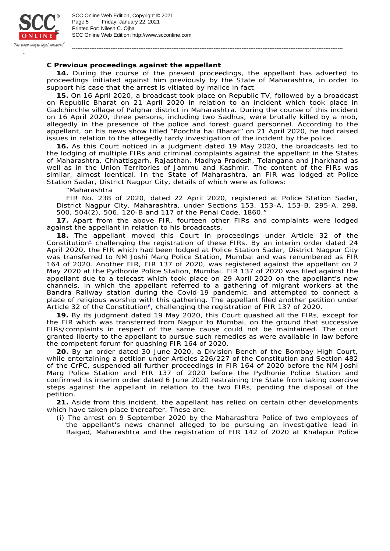

SCC Online Web Edition: http://www.scconline.com Printed For: Nilesh C. Ojha Page 5 Friday, January 22, 2021 SCC Online Web Edition, Copyright © 2021

**C Previous proceedings against the appellant**

**14.** During the course of the present proceedings, the appellant has adverted to proceedings initiated against him previously by the State of Maharashtra, in order to support his case that the arrest is vitiated by malice in fact.

-----------------------------------------------------------------------------------------------------------------------------------------------------------

**15.** On 16 April 2020, a broadcast took place on Republic TV, followed by a broadcast on Republic Bharat on 21 April 2020 in relation to an incident which took place in Gadchinchle village of Palghar district in Maharashtra. During the course of this incident on 16 April 2020, three persons, including two Sadhus, were brutally killed by a mob, allegedly in the presence of the police and forest guard personnel. According to the appellant, on his news show titled "*Poochta hai Bharat*" on 21 April 2020, he had raised issues in relation to the allegedly tardy investigation of the incident by the police.

**16.** As this Court noticed in a judgment dated 19 May 2020, the broadcasts led to the lodging of multiple FIRs and criminal complaints against the appellant in the States of Maharashtra, Chhattisgarh, Rajasthan, Madhya Pradesh, Telangana and Jharkhand as well as in the Union Territories of Jammu and Kashmir. The content of the FIRs was similar, almost identical. In the State of Maharashtra, an FIR was lodged at Police Station Sadar, District Nagpur City, details of which were as follows:

"Maharashtra

FIR No. 238 of 2020, dated 22 April 2020, registered at Police Station Sadar, District Nagpur City, Maharashtra, under Sections 153, 153-A, 153-B, 295-A, 298, 500, 504(2), 506, 120-B and 117 of the Penal Code, 1860."

**17.** Apart from the above FIR, fourteen other FIRs and complaints were lodged against the appellant in relation to his broadcasts.

**18.** The appellant moved this Court in proceedings under Article 32 of the Constitution<sup>®</sup> challenging the registration of these FIRs. By an interim order dated 24 April 2020, the FIR which had been lodged at Police Station Sadar, District Nagpur City was transferred to NM Joshi Marg Police Station, Mumbai and was renumbered as FIR 164 of 2020. Another FIR, FIR 137 of 2020, was registered against the appellant on 2 May 2020 at the Pydhonie Police Station, Mumbai. FIR 137 of 2020 was filed against the appellant due to a telecast which took place on 29 April 2020 on the appellant's new channels, in which the appellant referred to a gathering of migrant workers at the Bandra Railway station during the Covid-19 pandemic, and attempted to connect a place of religious worship with this gathering. The appellant filed another petition under Article 32 of the Constitution<sup>®</sup>, challenging the registration of FIR 137 of 2020.

**19.** By its judgment dated 19 May 2020, this Court quashed all the FIRs, except for the FIR which was transferred from Nagpur to Mumbai, on the ground that successive FIRs/complaints in respect of the same cause could not be maintained. The court granted liberty to the appellant to pursue such remedies as were available in law before the competent forum for quashing FIR 164 of 2020.

**20.** By an order dated 30 June 2020, a Division Bench of the Bombay High Court, while entertaining a petition under Articles 226/227 of the Constitution and Section 482 of the CrPC, suspended all further proceedings in FIR 164 of 2020 before the NM Joshi Marg Police Station and FIR 137 of 2020 before the Pydhonie Police Station and confirmed its interim order dated 6 June 2020 restraining the State from taking coercive steps against the appellant in relation to the two FIRs, pending the disposal of the petition.

**21.** Aside from this incident, the appellant has relied on certain other developments which have taken place thereafter. These are:

(i) The arrest on 9 September 2020 by the Maharashtra Police of two employees of the appellant's news channel alleged to be pursuing an investigative lead in Raigad, Maharashtra and the registration of FIR 142 of 2020 at Khalapur Police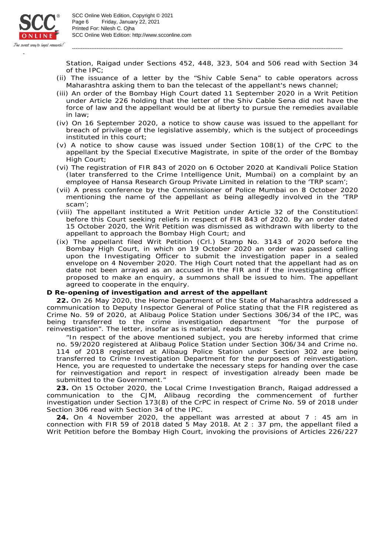

SCC Online Web Edition: http://www.scconline.com Printed For: Nilesh C. Ojha Page 6 Friday, January 22, 2021 SCC Online Web Edition, Copyright © 2021

Station, Raigad under Sections 452, 448, 323, 504 and 506 read with Section 34 of the IPC;

-----------------------------------------------------------------------------------------------------------------------------------------------------------

- (ii) The issuance of a letter by the "*Shiv Cable Sena*" to cable operators across Maharashtra asking them to ban the telecast of the appellant's news channel;
- (iii) An order of the Bombay High Court dated 11 September 2020 in a Writ Petition under Article 226 holding that the letter of the *Shiv Cable Sena* did not have the force of law and the appellant would be at liberty to pursue the remedies available in law;
- (iv) On 16 September 2020, a notice to show cause was issued to the appellant for breach of privilege of the legislative assembly, which is the subject of proceedings instituted in this court;
- (v) A notice to show cause was issued under Section 108(1) of the CrPC to the appellant by the Special Executive Magistrate, in spite of the order of the Bombay High Court;
- (vi) The registration of FIR 843 of 2020 on 6 October 2020 at Kandivali Police Station (later transferred to the Crime Intelligence Unit, Mumbai) on a complaint by an employee of Hansa Research Group Private Limited in relation to the 'TRP scam';
- (vii) A press conference by the Commissioner of Police Mumbai on 8 October 2020 mentioning the name of the appellant as being allegedly involved in the 'TRP scam';
- (viii) The appellant instituted a Writ Petition under Article 32 of the Constitution<sup>1</sup> before this Court seeking reliefs in respect of FIR 843 of 2020. By an order dated 15 October 2020, the Writ Petition was dismissed as withdrawn with liberty to the appellant to approach the Bombay High Court; and
- (ix) The appellant filed Writ Petition (Crl.) Stamp No. 3143 of 2020 before the Bombay High Court, in which on 19 October 2020 an order was passed calling upon the Investigating Officer to submit the investigation paper in a sealed envelope on 4 November 2020. The High Court noted that the appellant had as on date not been arrayed as an accused in the FIR and if the investigating officer proposed to make an enquiry, a summons shall be issued to him. The appellant agreed to cooperate in the enquiry.

**D Re-opening of investigation and arrest of the appellant**

**22.** On 26 May 2020, the Home Department of the State of Maharashtra addressed a communication to Deputy Inspector General of Police stating that the FIR registered as Crime No. 59 of 2020, at Alibaug Police Station under Sections 306/34 of the IPC, was being transferred to the crime investigation department "for the purpose of reinvestigation". The letter, insofar as is material, reads thus:

"In respect of the above mentioned subject, you are hereby informed that crime no. 59/2020 registered at Alibaug Police Station under Section 306/34 and Crime no. 114 of 2018 registered at Alibaug Police Station under Section 302 are being transferred to Crime Investigation Department for the purposes of reinvestigation. Hence, you are requested to undertake the necessary steps for handing over the case for reinvestigation and report in respect of investigation already been made be submitted to the Government."

**23.** On 15 October 2020, the Local Crime Investigation Branch, Raigad addressed a communication to the CJM, Alibaug recording the commencement of further investigation under Section 173(8) of the CrPC in respect of Crime No. 59 of 2018 under Section 306 read with Section 34 of the IPC.

**24.** On 4 November 2020, the appellant was arrested at about 7 : 45 am in connection with FIR 59 of 2018 dated 5 May 2018. At 2 : 37 pm, the appellant filed a Writ Petition before the Bombay High Court, invoking the provisions of Articles 226/227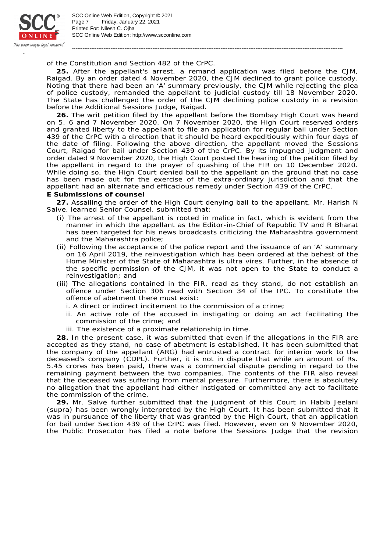

SCC Online Web Edition: http://www.scconline.com Printed For: Nilesh C. Ojha Page 7 Friday, January 22, 2021 SCC Online Web Edition, Copyright © 2021

of the Constitution and Section 482 of the CrPC.

**25.** After the appellant's arrest, a remand application was filed before the CJM, Raigad. By an order dated 4 November 2020, the CJM declined to grant police custody. Noting that there had been an 'A' summary previously, the CJM while rejecting the plea of police custody, remanded the appellant to judicial custody till 18 November 2020. The State has challenged the order of the CJM declining police custody in a revision before the Additional Sessions Judge, Raigad.

-----------------------------------------------------------------------------------------------------------------------------------------------------------

**26.** The writ petition filed by the appellant before the Bombay High Court was heard on 5, 6 and 7 November 2020. On 7 November 2020, the High Court reserved orders and granted liberty to the appellant to file an application for regular bail under Section 439 of the CrPC with a direction that it should be heard expeditiously within four days of the date of filing. Following the above direction, the appellant moved the Sessions Court, Raigad for bail under Section 439 of the CrPC. By its impugned judgment and order dated 9 November 2020, the High Court posted the hearing of the petition filed by the appellant in regard to the prayer of quashing of the FIR on 10 December 2020. While doing so, the High Court denied bail to the appellant on the ground that no case has been made out for the exercise of the extra-ordinary jurisdiction and that the appellant had an alternate and efficacious remedy under Section 439 of the CrPC. **E Submissions of counsel**

**27.** Assailing the order of the High Court denying bail to the appellant, Mr. Harish N Salve, learned Senior Counsel, submitted that:

- (i) The arrest of the appellant is rooted in malice in fact, which is evident from the manner in which the appellant as the Editor-in-Chief of Republic TV and R Bharat has been targeted for his news broadcasts criticizing the Maharashtra government and the Maharashtra police;
- (ii) Following the acceptance of the police report and the issuance of an 'A' summary on 16 April 2019, the reinvestigation which has been ordered at the behest of the Home Minister of the State of Maharashtra is *ultra vires*. Further, in the absence of the specific permission of the CJM, it was not open to the State to conduct a reinvestigation; and
- (iii) The allegations contained in the FIR, read as they stand, do not establish an offence under Section 306 read with Section 34 of the IPC. To constitute the offence of abetment there must exist:
	- i. A direct or indirect incitement to the commission of a crime;
	- ii. An active role of the accused in instigating or doing an act facilitating the commission of the crime; and
	- iii. The existence of a proximate relationship in time.

**28.** In the present case, it was submitted that even if the allegations in the FIR are accepted as they stand, no case of abetment is established. It has been submitted that the company of the appellant (ARG) had entrusted a contract for interior work to the deceased's company (CDPL). Further, it is not in dispute that while an amount of Rs. 5.45 crores has been paid, there was a commercial dispute pending in regard to the remaining payment between the two companies. The contents of the FIR also reveal that the deceased was suffering from mental pressure. Furthermore, there is absolutely no allegation that the appellant had either instigated or committed any act to facilitate the commission of the crime.

**29.** Mr. Salve further submitted that the judgment of this Court in *Habib Jeelani* (supra) has been wrongly interpreted by the High Court. It has been submitted that it was in pursuance of the liberty that was granted by the High Court, that an application for bail under Section 439 of the CrPC was filed. However, even on 9 November 2020, the Public Prosecutor has filed a note before the Sessions Judge that the revision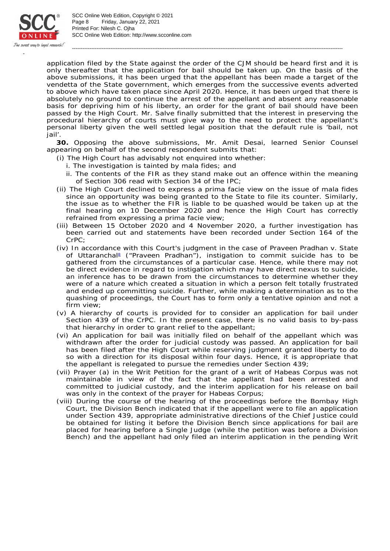

SCC Online Web Edition: http://www.scconline.com Printed For: Nilesh C. Ojha Page 8 Friday, January 22, 2021 SCC Online Web Edition, Copyright © 2021

application filed by the State against the order of the CJM should be heard first and it is only thereafter that the application for bail should be taken up. On the basis of the above submissions, it has been urged that the appellant has been made a target of the vendetta of the State government, which emerges from the successive events adverted to above which have taken place since April 2020. Hence, it has been urged that there is absolutely no ground to continue the arrest of the appellant and absent any reasonable basis for depriving him of his liberty, an order for the grant of bail should have been passed by the High Court. Mr. Salve finally submitted that the interest in preserving the procedural hierarchy of courts must give way to the need to protect the appellant's personal liberty given the well settled legal position that the default rule is 'bail, not jail'.

-----------------------------------------------------------------------------------------------------------------------------------------------------------

**30.** Opposing the above submissions, Mr. Amit Desai, learned Senior Counsel appearing on behalf of the second respondent submits that:

- (i) The High Court has advisably not enquired into whether:
	- i. The investigation is tainted by *mala fides*; and
	- ii. The contents of the FIR as they stand make out an offence within the meaning of Section 306 read with Section 34 of the IPC;
- (ii) The High Court declined to express a *prima facie* view on the issue of *mala fides* since an opportunity was being granted to the State to file its counter. Similarly, the issue as to whether the FIR is liable to be quashed would be taken up at the final hearing on 10 December 2020 and hence the High Court has correctly refrained from expressing a *prima facie* view;
- (iii) Between 15 October 2020 and 4 November 2020, a further investigation has been carried out and statements have been recorded under Section 164 of the CrPC;
- (iv) In accordance with this Court's judgment in the case of *Praveen Pradhan* v. *State*  of Uttarancha<sup>®</sup> ("Praveen Pradhan"), instigation to commit suicide has to be gathered from the circumstances of a particular case. Hence, while there may not be direct evidence in regard to instigation which may have direct nexus to suicide, an inference has to be drawn from the circumstances to determine whether they were of a nature which created a situation in which a person felt totally frustrated and ended up committing suicide. Further, while making a determination as to the quashing of proceedings, the Court has to form only a tentative opinion and not a firm view;
- (v) A hierarchy of courts is provided for to consider an application for bail under Section 439 of the CrPC. In the present case, there is no valid basis to by-pass that hierarchy in order to grant relief to the appellant;
- (vi) An application for bail was initially filed on behalf of the appellant which was withdrawn after the order for judicial custody was passed. An application for bail has been filed after the High Court while reserving judgment granted liberty to do so with a direction for its disposal within four days. Hence, it is appropriate that the appellant is relegated to pursue the remedies under Section 439;
- (vii) Prayer (a) in the Writ Petition for the grant of a writ of Habeas Corpus was not maintainable in view of the fact that the appellant had been arrested and committed to judicial custody, and the interim application for his release on bail was only in the context of the prayer for Habeas Corpus;
- (viii) During the course of the hearing of the proceedings before the Bombay High Court, the Division Bench indicated that if the appellant were to file an application under Section 439, appropriate administrative directions of the Chief Justice could be obtained for listing it before the Division Bench since applications for bail are placed for hearing before a Single Judge (while the petition was before a Division Bench) and the appellant had only filed an interim application in the pending Writ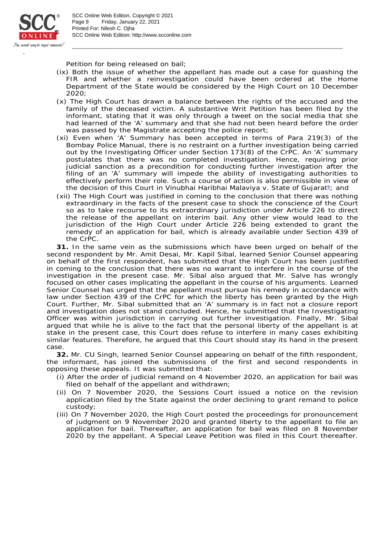

SCC Online Web Edition: http://www.scconline.com Printed For: Nilesh C. Ojha Page 9 Friday, January 22, 2021 SCC Online Web Edition, Copyright © 2021

Petition for being released on bail;

(ix) Both the issue of whether the appellant has made out a case for quashing the FIR and whether a reinvestigation could have been ordered at the Home Department of the State would be considered by the High Court on 10 December 2020;

-----------------------------------------------------------------------------------------------------------------------------------------------------------

- (x) The High Court has drawn a balance between the rights of the accused and the family of the deceased victim. A substantive Writ Petition has been filed by the informant, stating that it was only through a tweet on the social media that she had learned of the 'A' summary and that she had not been heard before the order was passed by the Magistrate accepting the police report;
- (xi) Even when 'A' Summary has been accepted in terms of Para 219(3) of the Bombay Police Manual, there is no restraint on a further investigation being carried out by the Investigating Officer under Section 173(8) of the CrPC. An 'A' summary postulates that there was no completed investigation. Hence, requiring prior judicial sanction as a precondition for conducting further investigation after the filing of an 'A' summary will impede the ability of investigating authorities to effectively perform their role. Such a course of action is also permissible in view of the decision of this Court in *Vinubhai Haribhai Malaviya* v. State of Gujarat<sup>2</sup>; and
- (xii) The High Court was justified in coming to the conclusion that there was nothing extraordinary in the facts of the present case to shock the conscience of the Court so as to take recourse to its extraordinary jurisdiction under Article 226 to direct the release of the appellant on interim bail. Any other view would lead to the jurisdiction of the High Court under Article 226 being extended to grant the remedy of an application for bail, which is already available under Section 439 of the CrPC.

**31.** In the same vein as the submissions which have been urged on behalf of the second respondent by Mr. Amit Desai, Mr. Kapil Sibal, learned Senior Counsel appearing on behalf of the first respondent, has submitted that the High Court has been justified in coming to the conclusion that there was no warrant to interfere in the course of the investigation in the present case. Mr. Sibal also argued that Mr. Salve has wrongly focused on other cases implicating the appellant in the course of his arguments. Learned Senior Counsel has urged that the appellant must pursue his remedy in accordance with law under Section 439 of the CrPC for which the liberty has been granted by the High Court. Further, Mr. Sibal submitted that an 'A' summary is in fact not a closure report and investigation does not stand concluded. Hence, he submitted that the Investigating Officer was within jurisdiction in carrying out further investigation. Finally, Mr. Sibal argued that while he is alive to the fact that the personal liberty of the appellant is at stake in the present case, this Court does refuse to interfere in many cases exhibiting similar features. Therefore, he argued that this Court should stay its hand in the present case.

**32.** Mr. CU Singh, learned Senior Counsel appearing on behalf of the fifth respondent, the informant, has joined the submissions of the first and second respondents in opposing these appeals. It was submitted that:

- (i) After the order of judicial remand on 4 November 2020, an application for bail was filed on behalf of the appellant and withdrawn;
- (ii) On 7 November 2020, the Sessions Court issued a notice on the revision application filed by the State against the order declining to grant remand to police custody;
- (iii) On 7 November 2020, the High Court posted the proceedings for pronouncement of judgment on 9 November 2020 and granted liberty to the appellant to file an application for bail. Thereafter, an application for bail was filed on 8 November 2020 by the appellant. A Special Leave Petition was filed in this Court thereafter.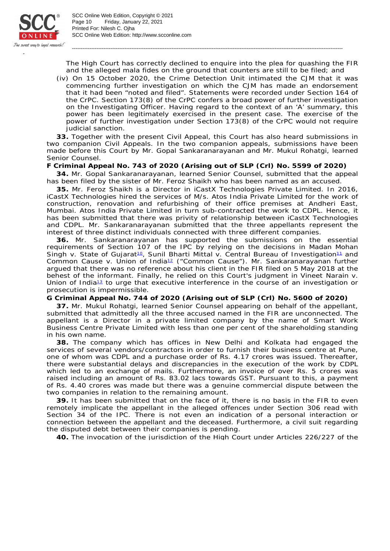

SCC Online Web Edition: http://www.scconline.com Printed For: Nilesh C. Ojha Page 10 Friday, January 22, 2021 SCC Online Web Edition, Copyright © 2021

The High Court has correctly declined to enquire into the plea for quashing the FIR and the alleged *mala fides* on the ground that counters are still to be filed; and

-----------------------------------------------------------------------------------------------------------------------------------------------------------

(iv) On 15 October 2020, the Crime Detection Unit intimated the CJM that it was commencing further investigation on which the CJM has made an endorsement that it had been "noted and filed". Statements were recorded under Section 164 of the CrPC. Section 173(8) of the CrPC confers a broad power of further investigation on the Investigating Officer. Having regard to the context of an 'A' summary, this power has been legitimately exercised in the present case. The exercise of the power of further investigation under Section 173(8) of the CrPC would not require judicial sanction.

**33.** Together with the present Civil Appeal, this Court has also heard submissions in two companion Civil Appeals. In the two companion appeals, submissions have been made before this Court by Mr. Gopal Sankaranarayanan and Mr. Mukul Rohatgi, learned Senior Counsel.

**F Criminal Appeal No. 743 of 2020 (Arising out of SLP (Crl) No. 5599 of 2020)**

**34.** Mr. Gopal Sankaranarayanan, learned Senior Counsel, submitted that the appeal has been filed by the sister of Mr. Feroz Shaikh who has been named as an accused.

**35.** Mr. Feroz Shaikh is a Director in iCastX Technologies Private Limited. In 2016, iCastX Technologies hired the services of M/s. Atos India Private Limited for the work of construction, renovation and refurbishing of their office premises at Andheri East, Mumbai. Atos India Private Limited in turn sub-contracted the work to CDPL. Hence, it has been submitted that there was privity of relationship between iCastX Technologies and CDPL. Mr. Sankaranarayanan submitted that the three appellants represent the interest of three distinct individuals connected with three different companies.

**36.** Mr. Sankaranarayanan has supported the submissions on the essential requirements of Section 107 of the IPC by relying on the decisions in *Madan Mohan*  Singh v. State of Gujarat<sup>io</sup>, Sunil Bharti Mittal v. Central Bureau of Investigation<sup>11</sup> and Common Cause v. Union of India<sup>12</sup> ("Common Cause"). Mr. Sankaranarayanan further argued that there was no reference about his client in the FIR filed on 5 May 2018 at the behest of the informant. Finally, he relied on this Court's judgment in *Vineet Narain* v. *Union of India*<sup>13</sup> to urge that executive interference in the course of an investigation or prosecution is impermissible.

**G Criminal Appeal No. 744 of 2020 (Arising out of SLP (Crl) No. 5600 of 2020)**

**37.** Mr. Mukul Rohatgi, learned Senior Counsel appearing on behalf of the appellant, submitted that admittedly all the three accused named in the FIR are unconnected. The appellant is a Director in a private limited company by the name of Smart Work Business Centre Private Limited with less than one per cent of the shareholding standing in his own name.

**38.** The company which has offices in New Delhi and Kolkata had engaged the services of several vendors/contractors in order to furnish their business centre at Pune, one of whom was CDPL and a purchase order of Rs. 4.17 crores was issued. Thereafter, there were substantial delays and discrepancies in the execution of the work by CDPL which led to an exchange of mails. Furthermore, an invoice of over Rs. 5 crores was raised including an amount of Rs. 83.02 lacs towards GST. Pursuant to this, a payment of Rs. 4.40 crores was made but there was a genuine commercial dispute between the two companies in relation to the remaining amount.

**39.** It has been submitted that on the face of it, there is no basis in the FIR to even remotely implicate the appellant in the alleged offences under Section 306 read with Section 34 of the IPC. There is not even an indication of a personal interaction or connection between the appellant and the deceased. Furthermore, a civil suit regarding the disputed debt between their companies is pending.

**40.** The invocation of the jurisdiction of the High Court under Articles 226/227 of the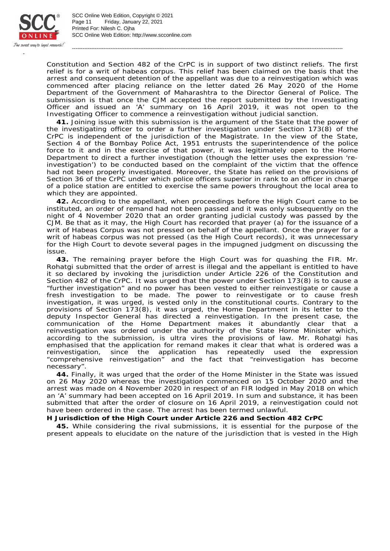

SCC Online Web Edition: http://www.scconline.com Printed For: Nilesh C. Ojha Page 11 Friday, January 22, 2021 SCC Online Web Edition, Copyright © 2021

Constitution and Section 482 of the CrPC is in support of two distinct reliefs. The first relief is for a writ of habeas corpus. This relief has been claimed on the basis that the arrest and consequent detention of the appellant was due to a reinvestigation which was commenced after placing reliance on the letter dated 26 May 2020 of the Home Department of the Government of Maharashtra to the Director General of Police. The submission is that once the CJM accepted the report submitted by the Investigating Officer and issued an 'A' summary on 16 April 2019, it was not open to the Investigating Officer to commence a reinvestigation without judicial sanction.

-----------------------------------------------------------------------------------------------------------------------------------------------------------

**41.** Joining issue with this submission is the argument of the State that the power of the investigating officer to order a further investigation under Section 173(8) of the CrPC is independent of the jurisdiction of the Magistrate. In the view of the State, Section 4 of the Bombay Police Act, 1951 entrusts the superintendence of the police force to it and in the exercise of that power, it was legitimately open to the Home Department to direct a further investigation (though the letter uses the expression 'reinvestigation') to be conducted based on the complaint of the victim that the offence had not been properly investigated. Moreover, the State has relied on the provisions of Section 36 of the CrPC under which police officers superior in rank to an officer in charge of a police station are entitled to exercise the same powers throughout the local area to which they are appointed.

**42.** According to the appellant, when proceedings before the High Court came to be instituted, an order of remand had not been passed and it was only subsequently on the night of 4 November 2020 that an order granting judicial custody was passed by the CJM. Be that as it may, the High Court has recorded that prayer (a) for the issuance of a writ of Habeas Corpus was not pressed on behalf of the appellant. Once the prayer for a writ of habeas corpus was not pressed (as the High Court records), it was unnecessary for the High Court to devote several pages in the impugned judgment on discussing the issue.

**43.** The remaining prayer before the High Court was for quashing the FIR. Mr. Rohatgi submitted that the order of arrest is illegal and the appellant is entitled to have it so declared by invoking the jurisdiction under Article 226 of the Constitution and Section 482 of the CrPC. It was urged that the power under Section 173(8) is to cause a "further investigation" and no power has been vested to either reinvestigate or cause a fresh investigation to be made. The power to reinvestigate or to cause fresh investigation, it was urged, is vested only in the constitutional courts. Contrary to the provisions of Section 173(8), it was urged, the Home Department in its letter to the deputy Inspector General has directed a reinvestigation. In the present case, the communication of the Home Department makes it abundantly clear that a reinvestigation was ordered under the authority of the State Home Minister which, according to the submission, is *ultra vires* the provisions of law. Mr. Rohatgi has emphasised that the application for remand makes it clear that what is ordered was a reinvestigation, since the application has repeatedly used the expression "comprehensive reinvestigation" and the fact that "reinvestigation has become necessary".

**44.** Finally, it was urged that the order of the Home Minister in the State was issued on 26 May 2020 whereas the investigation commenced on 15 October 2020 and the arrest was made on 4 November 2020 in respect of an FIR lodged in May 2018 on which an 'A' summary had been accepted on 16 April 2019. In sum and substance, it has been submitted that after the order of closure on 16 April 2019, a reinvestigation could not have been ordered in the case. The arrest has been termed unlawful.

**H Jurisdiction of the High Court under Article 226 and Section 482 CrPC**

**45.** While considering the rival submissions, it is essential for the purpose of the present appeals to elucidate on the nature of the jurisdiction that is vested in the High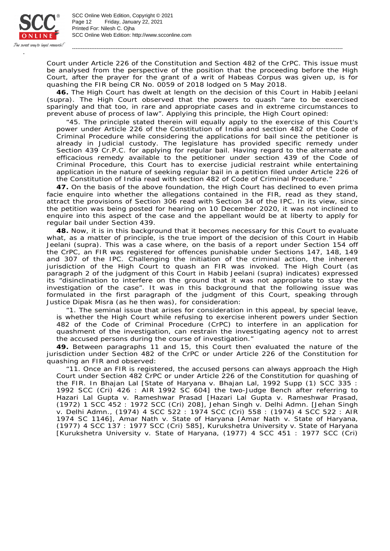

SCC Online Web Edition: http://www.scconline.com Printed For: Nilesh C. Ojha Page 12 Friday, January 22, 2021 SCC Online Web Edition, Copyright © 2021

Court under Article 226 of the Constitution and Section 482 of the CrPC. This issue must be analysed from the perspective of the position that the proceeding before the High Court, after the prayer for the grant of a writ of Habeas Corpus was given up, is for quashing the FIR being CR No. 0059 of 2018 lodged on 5 May 2018.

-----------------------------------------------------------------------------------------------------------------------------------------------------------

**46.** The High Court has dwelt at length on the decision of this Court in *Habib Jeelani* (supra). The High Court observed that the powers to quash "are to be exercised sparingly and that too, in rare and appropriate cases and in extreme circumstances to prevent abuse of process of law". Applying this principle, the High Court opined:

"45. The principle stated therein will equally apply to the exercise of this Court's power under Article 226 of the Constitution of India and section 482 of the Code of Criminal Procedure while considering the applications for bail since the petitioner is already in Judicial custody. The legislature has provided specific remedy under Section 439 Cr.P.C. for applying for regular bail. Having regard to the alternate and efficacious remedy available to the petitioner under section 439 of the Code of Criminal Procedure, this Court has to exercise judicial restraint while entertaining application in the nature of seeking regular bail in a petition filed under Article 226 of the Constitution of India read with section 482 of Code of Criminal Procedure."

**47.** On the basis of the above foundation, the High Court has declined to even *prima facie* enquire into whether the allegations contained in the FIR, read as they stand, attract the provisions of Section 306 read with Section 34 of the IPC. In its view, since the petition was being posted for hearing on 10 December 2020, it was not inclined to enquire into this aspect of the case and the appellant would be at liberty to apply for regular bail under Section 439.

**48.** Now, it is in this background that it becomes necessary for this Court to evaluate what, as a matter of principle, is the true import of the decision of this Court in *Habib Jeelani* (supra). This was a case where, on the basis of a report under Section 154 off the CrPC, an FIR was registered for offences punishable under Sections 147, 148, 149 and 307 of the IPC. Challenging the initiation of the criminal action, the inherent jurisdiction of the High Court to quash an FIR was invoked. The High Court (as paragraph 2 of the judgment of this Court in *Habib Jeelani* (supra) indicates) expressed its "disinclination to interfere on the ground that it was not appropriate to stay the investigation of the case". It was in this background that the following issue was formulated in the first paragraph of the judgment of this Court, speaking through Justice Dipak Misra (as he then was), for consideration:

"1. The seminal issue that arises for consideration in this appeal, by special leave, is whether the High Court while refusing to exercise inherent powers under Section 482 of the Code of Criminal Procedure (CrPC) to interfere in an application for quashment of the investigation, can restrain the investigating agency not to arrest the accused persons during the course of investigation."

**49.** Between paragraphs 11 and 15, this Court then evaluated the nature of the jurisdiction under Section 482 of the CrPC or under Article 226 of the Constitution for quashing an FIR and observed:

"11. Once an FIR is registered, the accused persons can always approach the High Court under Section 482 CrPC or under Article 226 of the Constitution for quashing of the FIR. In *Bhajan Lal* [*State of Haryana* v. *Bhajan Lal*, 1992 Supp (1) SCC 335 : 1992 SCC (Cri) 426 : AIR 1992 SC 604] the two-Judge Bench after referring to *Hazari Lal Gupta* v. *Rameshwar Prasad* [*Hazari Lal Gupta* v. *Rameshwar Prasad*, (1972) 1 SCC 452 : 1972 SCC (Cri) 208], *Jehan Singh* v. *Delhi Admn.* [*Jehan Singh* v. *Delhi Admn.*, (1974) 4 SCC 522 : 1974 SCC (Cri) 558 : (1974) 4 SCC 522 : AIR 1974 SC 1146], *Amar Nath* v. *State of Haryana* [*Amar Nath* v. *State of Haryana*, (1977) 4 SCC 137 : 1977 SCC (Cri) 585], *Kurukshetra University* v. *State of Haryana* [*Kurukshetra University* v. *State of Haryana*, (1977) 4 SCC 451 : 1977 SCC (Cri)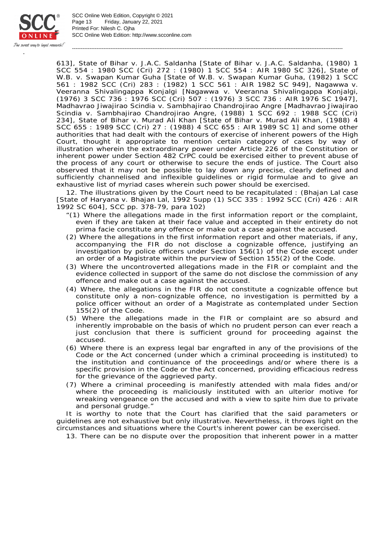

SCC Online Web Edition: http://www.scconline.com Printed For: Nilesh C. Ojha Page 13 Friday, January 22, 2021 SCC Online Web Edition, Copyright © 2021

613], *State of Bihar* v. *J.A.C. Saldanha* [*State of Bihar* v. *J.A.C. Saldanha*, (1980) 1 SCC 554 : 1980 SCC (Cri) 272 : (1980) 1 SCC 554 : AIR 1980 SC 326], *State of W.B.* v. *Swapan Kumar Guha* [*State of W.B.* v. *Swapan Kumar Guha*, (1982) 1 SCC 561 : 1982 SCC (Cri) 283 : (1982) 1 SCC 561 : AIR 1982 SC 949], *Nagawwa* v. *Veeranna Shivalingappa Konjalgi* [*Nagawwa* v. *Veeranna Shivalingappa Konjalgi*, (1976) 3 SCC 736 : 1976 SCC (Cri) 507 : (1976) 3 SCC 736 : AIR 1976 SC 1947], *Madhavrao Jiwajirao Scindia* v. *Sambhajirao Chandrojirao Angre* [*Madhavrao Jiwajirao Scindia* v. *Sambhajirao Chandrojirao Angre*, (1988) 1 SCC 692 : 1988 SCC (Cri) 234], *State of Bihar* v. *Murad Ali Khan* [*State of Bihar* v. *Murad Ali Khan*, (1988) 4 SCC 655 : 1989 SCC (Cri) 27 : (1988) 4 SCC 655 : AIR 1989 SC 1] and some other authorities that had dealt with the contours of exercise of inherent powers of the High Court, thought it appropriate to mention certain category of cases by way of illustration wherein the extraordinary power under Article 226 of the Constitution or inherent power under Section 482 CrPC could be exercised either to prevent abuse of the process of any court or otherwise to secure the ends of justice. The Court also observed that it may not be possible to lay down any precise, clearly defined and sufficiently channelised and inflexible guidelines or rigid formulae and to give an exhaustive list of myriad cases wherein such power should be exercised.

-----------------------------------------------------------------------------------------------------------------------------------------------------------

12. The illustrations given by the Court need to be recapitulated : (*Bhajan Lal case* [*State of Haryana* v. *Bhajan Lal*, 1992 Supp (1) SCC 335 : 1992 SCC (Cri) 426 : AIR 1992 SC 604], SCC pp. 378-79, para 102)

- "(*1*) Where the allegations made in the first information report or the complaint, even if they are taken at their face value and accepted in their entirety do not prima facie constitute any offence or make out a case against the accused.
- (*2*) Where the allegations in the first information report and other materials, if any, accompanying the FIR do not disclose a cognizable offence, justifying an investigation by police officers under Section 156(1) of the Code except under an order of a Magistrate within the purview of Section 155(2) of the Code.
- (*3*) Where the uncontroverted allegations made in the FIR or complaint and the evidence collected in support of the same do not disclose the commission of any offence and make out a case against the accused.
- (*4*) Where, the allegations in the FIR do not constitute a cognizable offence but constitute only a non-cognizable offence, no investigation is permitted by a police officer without an order of a Magistrate as contemplated under Section 155(2) of the Code.
- (*5*) Where the allegations made in the FIR or complaint are so absurd and inherently improbable on the basis of which no prudent person can ever reach a just conclusion that there is sufficient ground for proceeding against the accused.
- (*6*) Where there is an express legal bar engrafted in any of the provisions of the Code or the Act concerned (under which a criminal proceeding is instituted) to the institution and continuance of the proceedings and/or where there is a specific provision in the Code or the Act concerned, providing efficacious redress for the grievance of the aggrieved party.
- (*7*) Where a criminal proceeding is manifestly attended with mala fides and/or where the proceeding is maliciously instituted with an ulterior motive for wreaking vengeance on the accused and with a view to spite him due to private and personal grudge."

It is worthy to note that the Court has clarified that the said parameters or guidelines are not exhaustive but only illustrative. Nevertheless, it throws light on the circumstances and situations where the Court's inherent power can be exercised.

13. There can be no dispute over the proposition that inherent power in a matter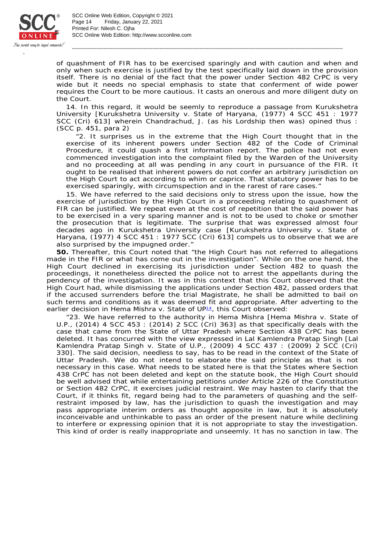

SCC Online Web Edition: http://www.scconline.com Printed For: Nilesh C. Ojha Page 14 Friday, January 22, 2021 SCC Online Web Edition, Copyright © 2021

of quashment of FIR has to be exercised sparingly and with caution and when and only when such exercise is justified by the test specifically laid down in the provision itself. There is no denial of the fact that the power under Section 482 CrPC is very wide but it needs no special emphasis to state that conferment of wide power requires the Court to be more cautious. It casts an onerous and more diligent duty on the Court.

-----------------------------------------------------------------------------------------------------------------------------------------------------------

14. In this regard, it would be seemly to reproduce a passage from *Kurukshetra University* [*Kurukshetra University* v. *State of Haryana*, (1977) 4 SCC 451 : 1977 SCC (Cri) 613] wherein Chandrachud, J. (as his Lordship then was) opined thus : (SCC p. 451, para 2)

"*2.* It surprises us in the extreme that the High Court thought that in the exercise of its inherent powers under Section 482 of the Code of Criminal Procedure, it could quash a first information report. The police had not even commenced investigation into the complaint filed by the Warden of the University and no proceeding at all was pending in any court in pursuance of the FIR. It ought to be realised that inherent powers do not confer an arbitrary jurisdiction on the High Court to act according to whim or caprice. That statutory power has to be exercised sparingly, with circumspection and in the rarest of rare cases."

15. We have referred to the said decisions only to stress upon the issue, how the exercise of jurisdiction by the High Court in a proceeding relating to quashment of FIR can be justified. We repeat even at the cost of repetition that the said power has to be exercised in a very sparing manner and is not to be used to choke or smother the prosecution that is legitimate. The surprise that was expressed almost four decades ago in *Kurukshetra University case* [*Kurukshetra University* v. *State of Haryana*, (1977) 4 SCC 451 : 1977 SCC (Cri) 613] compels us to observe that we are also surprised by the impugned order."

**50.** Thereafter, this Court noted that "the High Court has not referred to allegations made in the FIR or what has come out in the investigation". While on the one hand, the High Court declined in exercising its jurisdiction under Section 482 to quash the proceedings, it nonetheless directed the police not to arrest the appellants during the pendency of the investigation. It was in this context that this Court observed that the High Court had, while dismissing the applications under Section 482, passed orders that if the accused surrenders before the trial Magistrate, he shall be admitted to bail on such terms and conditions as it was deemed fit and appropriate. After adverting to the earlier decision in *Hema Mishra* v. State of UP<sup>14</sup>, this Court observed:

"23. We have referred to the authority in *Hema Mishra* [*Hema Mishra* v. *State of U.P.*, (2014) 4 SCC 453 : (2014) 2 SCC (Cri) 363] as that specifically deals with the case that came from the State of Uttar Pradesh where Section 438 CrPC has been deleted. It has concurred with the view expressed in *Lal Kamlendra Pratap Singh* [*Lal Kamlendra Pratap Singh* v. *State of U.P.*, (2009) 4 SCC 437 : (2009) 2 SCC (Cri) 330]. The said decision, needless to say, has to be read in the context of the State of Uttar Pradesh. We do not intend to elaborate the said principle as that is not necessary in this case. What needs to be stated here is that the States where Section 438 CrPC has not been deleted and kept on the statute book, the High Court should be well advised that while entertaining petitions under Article 226 of the Constitution or Section 482 CrPC, it exercises judicial restraint. We may hasten to clarify that the Court, if it thinks fit, regard being had to the parameters of quashing and the selfrestraint imposed by law, has the jurisdiction to quash the investigation and may pass appropriate interim orders as thought apposite in law, but it is absolutely inconceivable and unthinkable to pass an order of the present nature while declining to interfere or expressing opinion that it is not appropriate to stay the investigation. This kind of order is really inappropriate and unseemly. It has no sanction in law. The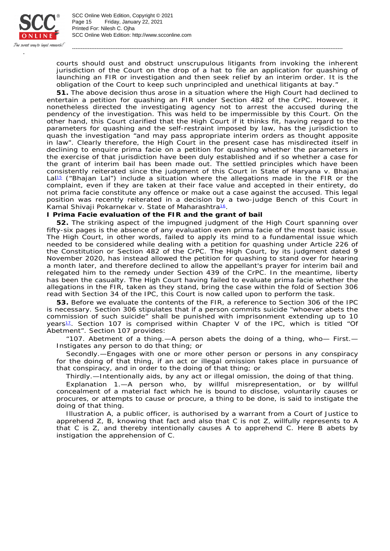

SCC Online Web Edition: http://www.scconline.com Printed For: Nilesh C. Ojha Page 15 Friday, January 22, 2021 SCC Online Web Edition, Copyright © 2021

courts should oust and obstruct unscrupulous litigants from invoking the inherent jurisdiction of the Court on the drop of a hat to file an application for quashing of launching an FIR or investigation and then seek relief by an interim order. It is the obligation of the Court to keep such unprincipled and unethical litigants at bay."

-----------------------------------------------------------------------------------------------------------------------------------------------------------

**51.** The above decision thus arose in a situation where the High Court had declined to entertain a petition for quashing an FIR under Section 482 of the CrPC. However, it nonetheless directed the investigating agency not to arrest the accused during the pendency of the investigation. This was held to be impermissible by this Court. On the other hand, this Court clarified that the High Court if it thinks fit, having regard to the parameters for quashing and the self-restraint imposed by law, has the jurisdiction to quash the investigation "and may pass appropriate interim orders as thought apposite in law". Clearly therefore, the High Court in the present case has misdirected itself in declining to enquire *prima facie* on a petition for quashing whether the parameters in the exercise of that jurisdiction have been duly established and if so whether a case for the grant of interim bail has been made out. The settled principles which have been consistently reiterated since the judgment of this Court in *State of Haryana* v. *Bhajan*  La<sup>p<sub>5</sub></sup> ("Bhajan Lal") include a situation where the allegations made in the FIR or the complaint, even if they are taken at their face value and accepted in their entirety, do not *prima facie* constitute any offence or make out a case against the accused. This legal position was recently reiterated in a decision by a two-judge Bench of this Court in Kamal Shivaji Pokarnekar v. State of Maharashtra<sup>16</sup>.

**I** *Prima Facie* **evaluation of the FIR and the grant of bail**

**52.** The striking aspect of the impugned judgment of the High Court spanning over fifty-six pages is the absence of any evaluation even *prima facie* of the most basic issue. The High Court, in other words, failed to apply its mind to a fundamental issue which needed to be considered while dealing with a petition for quashing under Article 226 of the Constitution or Section 482 of the CrPC. The High Court, by its judgment dated 9 November 2020, has instead allowed the petition for quashing to stand over for hearing a month later, and therefore declined to allow the appellant's prayer for interim bail and relegated him to the remedy under Section 439 of the CrPC. In the meantime, liberty has been the casualty. The High Court having failed to evaluate *prima facie* whether the allegations in the FIR, taken as they stand, bring the case within the fold of Section 306 read with Section 34 of the IPC, this Court is now called upon to perform the task.

**53.** Before we evaluate the contents of the FIR, a reference to Section 306 of the IPC is necessary. Section 306 stipulates that if a person commits suicide "whoever abets the commission of such suicide" shall be punished with imprisonment extending up to 10 years<sup>17</sup>. Section 107 is comprised within Chapter V of the IPC, which is titled "Of Abetment". Section 107 provides:

"107. Abetment of a thing.—A person abets the doing of a thing, who— First.— Instigates any person to do that thing; or

Secondly.—Engages with one or more other person or persons in any conspiracy for the doing of that thing, if an act or illegal omission takes place in pursuance of that conspiracy, and in order to the doing of that thing; or

Thirdly.—Intentionally aids, by any act or illegal omission, the doing of that thing.

Explanation 1.—A person who, by willful misrepresentation, or by willful concealment of a material fact which he is bound to disclose, voluntarily causes or procures, or attempts to cause or procure, a thing to be done, is said to instigate the doing of that thing.

Illustration A, a public officer, is authorised by a warrant from a Court of Justice to apprehend Z, B, knowing that fact and also that C is not Z, willfully represents to A that C is Z, and thereby intentionally causes A to apprehend C. Here B abets by instigation the apprehension of C.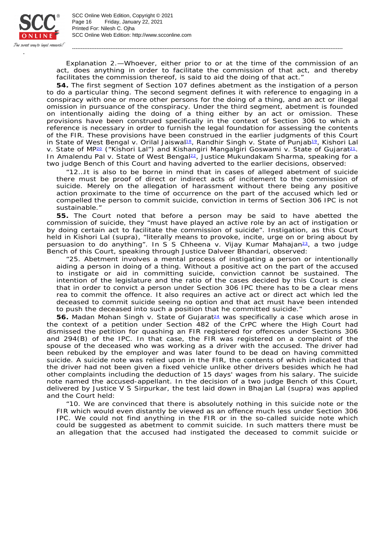

SCC Online Web Edition: http://www.scconline.com Printed For: Nilesh C. Ojha Page 16 Friday, January 22, 2021 SCC Online Web Edition, Copyright © 2021

Explanation 2.—Whoever, either prior to or at the time of the commission of an act, does anything in order to facilitate the commission of that act, and thereby facilitates the commission thereof, is said to aid the doing of that act."

-----------------------------------------------------------------------------------------------------------------------------------------------------------

**54.** The first segment of Section 107 defines abetment as the instigation of a person to do a particular thing. The second segment defines it with reference to engaging in a conspiracy with one or more other persons for the doing of a thing, and an act or illegal omission in pursuance of the conspiracy. Under the third segment, abetment is founded on intentionally aiding the doing of a thing either by an act or omission. These provisions have been construed specifically in the context of Section 306 to which a reference is necessary in order to furnish the legal foundation for assessing the contents of the FIR. These provisions have been construed in the earlier judgments of this Court in *State of West Bengal* v. *Orilal Jaiswal*<sup>18</sup>, Randhir Singh v. State of Punjab<sup>19</sup>, Kishori Lal v. State of MP<sup>20</sup> ("Kishori Lal") and Kishangiri Mangalgiri Goswami v. State of Gujarat<sup>21</sup>. In Amalendu Pal v. State of West Benga<sup>p2</sup>, Justice Mukundakam Sharma, speaking for a two judge Bench of this Court and having adverted to the earlier decisions, observed:

"12…It is also to be borne in mind that in cases of alleged abetment of suicide there must be proof of direct or indirect acts of incitement to the commission of suicide. Merely on the allegation of harassment without there being any positive action proximate to the time of occurrence on the part of the accused which led or compelled the person to commit suicide, conviction in terms of Section 306 IPC is not sustainable."

**55.** The Court noted that before a person may be said to have abetted the commission of suicide, they "must have played an active role by an act of instigation or by doing certain act to facilitate the commission of suicide". Instigation, as this Court held in *Kishori Lal* (supra), "literally means to provoke, incite, urge on or bring about by persuasion to do anything". In S S Chheena v. Vijay Kumar Mahajan<sup>23</sup>, a two judge Bench of this Court, speaking through Justice Dalveer Bhandari, observed:

"25. Abetment involves a mental process of instigating a person or intentionally aiding a person in doing of a thing. Without a positive act on the part of the accused to instigate or aid in committing suicide, conviction cannot be sustained. The intention of the legislature and the ratio of the cases decided by this Court is clear that in order to convict a person under Section 306 IPC there has to be a clear mens rea to commit the offence. It also requires an active act or direct act which led the deceased to commit suicide seeing no option and that act must have been intended to push the deceased into such a position that he committed suicide."

56. Madan Mohan Singh v. State of Gujarat<sup>24</sup> was specifically a case which arose in the context of a petition under Section 482 of the CrPC where the High Court had dismissed the petition for quashing an FIR registered for offences under Sections 306 and 294(B) of the IPC. In that case, the FIR was registered on a complaint of the spouse of the deceased who was working as a driver with the accused. The driver had been rebuked by the employer and was later found to be dead on having committed suicide. A suicide note was relied upon in the FIR, the contents of which indicated that the driver had not been given a fixed vehicle unlike other drivers besides which he had other complaints including the deduction of 15 days' wages from his salary. The suicide note named the accused-appellant. In the decision of a two judge Bench of this Court, delivered by Justice V S Sirpurkar, the test laid down in *Bhajan Lal* (supra) was applied and the Court held:

"10. We are convinced that there is absolutely nothing in this suicide note or the FIR which would even distantly be viewed as an offence much less under Section 306 IPC. We could not find anything in the FIR or in the so-called suicide note which could be suggested as abetment to commit suicide. In such matters there must be an allegation that the accused had instigated the deceased to commit suicide or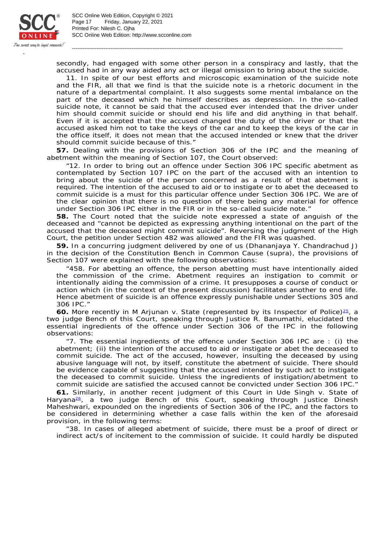

SCC Online Web Edition: http://www.scconline.com Printed For: Nilesh C. Ojha Page 17 Friday, January 22, 2021 SCC Online Web Edition, Copyright © 2021

secondly, had engaged with some other person in a conspiracy and lastly, that the accused had in any way aided any act or illegal omission to bring about the suicide.

-----------------------------------------------------------------------------------------------------------------------------------------------------------

11. In spite of our best efforts and microscopic examination of the suicide note and the FIR, all that we find is that the suicide note is a rhetoric document in the nature of a departmental complaint. It also suggests some mental imbalance on the part of the deceased which he himself describes as depression. In the so-called suicide note, it cannot be said that the accused ever intended that the driver under him should commit suicide or should end his life and did anything in that behalf. Even if it is accepted that the accused changed the duty of the driver or that the accused asked him not to take the keys of the car and to keep the keys of the car in the office itself, it does not mean that the accused intended or knew that the driver should commit suicide because of this."

**57.** Dealing with the provisions of Section 306 of the IPC and the meaning of abetment within the meaning of Section 107, the Court observed:

"12. In order to bring out an offence under Section 306 IPC specific abetment as contemplated by Section 107 IPC on the part of the accused with an intention to bring about the suicide of the person concerned as a result of that abetment is required. The intention of the accused to aid or to instigate or to abet the deceased to commit suicide is a must for this particular offence under Section 306 IPC. We are of the clear opinion that there is no question of there being any material for offence under Section 306 IPC either in the FIR or in the so-called suicide note."

**58.** The Court noted that the suicide note expressed a state of anguish of the deceased and "cannot be depicted as expressing anything intentional on the part of the accused that the deceased might commit suicide". Reversing the judgment of the High Court, the petition under Section 482 was allowed and the FIR was quashed.

**59.** In a concurring judgment delivered by one of us (Dhananjaya Y. Chandrachud J) in the decision of the Constitution Bench in *Common Cause* (supra), the provisions of Section 107 were explained with the following observations:

"458. For abetting an offence, the person abetting must have intentionally aided the commission of the crime. Abetment requires an instigation to commit or intentionally aiding the commission of a crime. It presupposes a course of conduct or action which (in the context of the present discussion) facilitates another to end life. Hence abetment of suicide is an offence expressly punishable under Sections 305 and 306 IPC."

60. More recently in *M Arjunan* v. State (represented by its Inspector of Police)<sup>25</sup>, a two judge Bench of this Court, speaking through Justice R. Banumathi, elucidated the essential ingredients of the offence under Section 306 of the IPC in the following observations:

"7. The essential ingredients of the offence under Section 306 IPC are : (*i*) the abetment; (*ii*) the intention of the accused to aid or instigate or abet the deceased to commit suicide. The act of the accused, however, insulting the deceased by using abusive language will not, by itself, constitute the abetment of suicide. There should be evidence capable of suggesting that the accused intended by such act to instigate the deceased to commit suicide. Unless the ingredients of instigation/abetment to commit suicide are satisfied the accused cannot be convicted under Section 306 IPC."

**61.** Similarly, in another recent judgment of this Court in *Ude Singh* v. *State of*  Haryana<sup>26</sup>, a two judge Bench of this Court, speaking through Justice Dinesh Maheshwari, expounded on the ingredients of Section 306 of the IPC, and the factors to be considered in determining whether a case falls within the ken of the aforesaid provision, in the following terms:

"38. In cases of alleged abetment of suicide, there must be a proof of direct or indirect act/s of incitement to the commission of suicide. It could hardly be disputed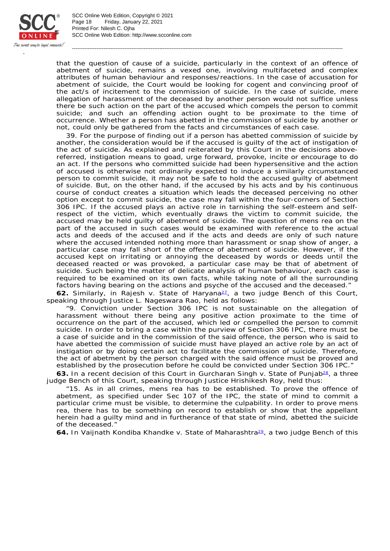

SCC Online Web Edition: http://www.scconline.com Printed For: Nilesh C. Ojha Page 18 Friday, January 22, 2021 SCC Online Web Edition, Copyright © 2021

that the question of cause of a suicide, particularly in the context of an offence of abetment of suicide, remains a vexed one, involving multifaceted and complex attributes of human behaviour and responses/reactions. In the case of accusation for abetment of suicide, the Court would be looking for cogent and convincing proof of the act/s of incitement to the commission of suicide. In the case of suicide, mere allegation of harassment of the deceased by another person would not suffice unless there be such action on the part of the accused which compels the person to commit suicide; and such an offending action ought to be proximate to the time of occurrence. Whether a person has abetted in the commission of suicide by another or not, could only be gathered from the facts and circumstances of each case.

-----------------------------------------------------------------------------------------------------------------------------------------------------------

39. For the purpose of finding out if a person has abetted commission of suicide by another, the consideration would be if the accused is guilty of the act of instigation of the act of suicide. As explained and reiterated by this Court in the decisions abovereferred, instigation means to goad, urge forward, provoke, incite or encourage to do an act. If the persons who committed suicide had been hypersensitive and the action of accused is otherwise not ordinarily expected to induce a similarly circumstanced person to commit suicide, it may not be safe to hold the accused guilty of abetment of suicide. But, on the other hand, if the accused by his acts and by his continuous course of conduct creates a situation which leads the deceased perceiving no other option except to commit suicide, the case may fall within the four-corners of Section 306 IPC. If the accused plays an active role in tarnishing the self-esteem and selfrespect of the victim, which eventually draws the victim to commit suicide, the accused may be held guilty of abetment of suicide. The question of *mens rea* on the part of the accused in such cases would be examined with reference to the actual acts and deeds of the accused and if the acts and deeds are only of such nature where the accused intended nothing more than harassment or snap show of anger, a particular case may fall short of the offence of abetment of suicide. However, if the accused kept on irritating or annoying the deceased by words or deeds until the deceased reacted or was provoked, a particular case may be that of abetment of suicide. Such being the matter of delicate analysis of human behaviour, each case is required to be examined on its own facts, while taking note of all the surrounding factors having bearing on the actions and psyche of the accused and the deceased."

62. Similarly, in *Rajesh v. State of Haryana<sup>21</sup>*, a two judge Bench of this Court, speaking through Justice L. Nageswara Rao, held as follows:

"9. Conviction under Section 306 IPC is not sustainable on the allegation of harassment without there being any positive action proximate to the time of occurrence on the part of the accused, which led or compelled the person to commit suicide. In order to bring a case within the purview of Section 306 IPC, there must be a case of suicide and in the commission of the said offence, the person who is said to have abetted the commission of suicide must have played an active role by an act of instigation or by doing certain act to facilitate the commission of suicide. Therefore, the act of abetment by the person charged with the said offence must be proved and established by the prosecution before he could be convicted under Section 306 IPC."

63. In a recent decision of this Court in *Gurcharan Singh* v. State of Punjab<sup>28</sup>, a three judge Bench of this Court, speaking through Justice Hrishikesh Roy, held thus:

"15. As in all crimes, *mens rea* has to be established. To prove the offence of abetment, as specified under Sec 107 of the IPC, the state of mind to commit a particular crime must be visible, to determine the culpability. In order to prove *mens rea*, there has to be something on record to establish or show that the appellant herein had a guilty mind and in furtherance of that state of mind, abetted the suicide of the deceased."

64. In Vaijnath Kondiba Khandke v. State of Maharashtra<sup>29</sup>, a two judge Bench of this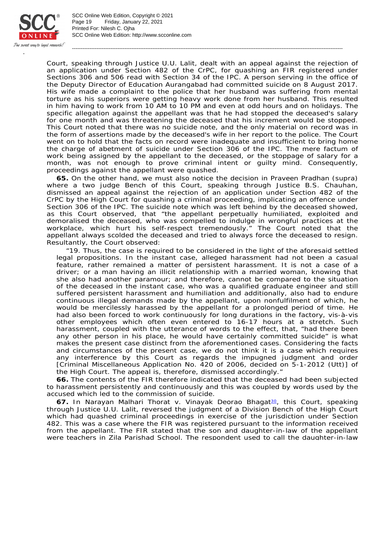

SCC Online Web Edition: http://www.scconline.com Printed For: Nilesh C. Ojha Page 19 Friday, January 22, 2021 SCC Online Web Edition, Copyright © 2021

Court, speaking through Justice U.U. Lalit, dealt with an appeal against the rejection of an application under Section 482 of the CrPC, for quashing an FIR registered under Sections 306 and 506 read with Section 34 of the IPC. A person serving in the office of the Deputy Director of Education Aurangabad had committed suicide on 8 August 2017. His wife made a complaint to the police that her husband was suffering from mental torture as his superiors were getting heavy work done from her husband. This resulted in him having to work from 10 AM to 10 PM and even at odd hours and on holidays. The specific allegation against the appellant was that he had stopped the deceased's salary for one month and was threatening the deceased that his increment would be stopped. This Court noted that there was no suicide note, and the only material on record was in the form of assertions made by the deceased's wife in her report to the police. The Court went on to hold that the facts on record were inadequate and insufficient to bring home the charge of abetment of suicide under Section 306 of the IPC. The mere factum of work being assigned by the appellant to the deceased, or the stoppage of salary for a month, was not enough to prove criminal intent or guilty mind. Consequently, proceedings against the appellant were quashed.

-----------------------------------------------------------------------------------------------------------------------------------------------------------

**65.** On the other hand, we must also notice the decision in *Praveen Pradhan* (supra) where a two judge Bench of this Court, speaking through Justice B.S. Chauhan, dismissed an appeal against the rejection of an application under Section 482 of the CrPC by the High Court for quashing a criminal proceeding, implicating an offence under Section 306 of the IPC. The suicide note which was left behind by the deceased showed, as this Court observed, that "the appellant perpetually humiliated, exploited and demoralised the deceased, who was compelled to indulge in wrongful practices at the workplace, which hurt his self-respect tremendously." The Court noted that the appellant always scolded the deceased and tried to always force the deceased to resign. Resultantly, the Court observed:

"19. Thus, the case is required to be considered in the light of the aforesaid settled legal propositions. In the instant case, alleged harassment had not been a casual feature, rather remained a matter of persistent harassment. It is not a case of a driver; or a man having an illicit relationship with a married woman, knowing that she also had another paramour; and therefore, cannot be compared to the situation of the deceased in the instant case, who was a qualified graduate engineer and still suffered persistent harassment and humiliation and additionally, also had to endure continuous illegal demands made by the appellant, upon nonfulfilment of which, he would be mercilessly harassed by the appellant for a prolonged period of time. He had also been forced to work continuously for long durations in the factory, vis-à-vis other employees which often even entered to 16-17 hours at a stretch. Such harassment, coupled with the utterance of words to the effect, that, "had there been any other person in his place, he would have certainly committed suicide" is what makes the present case distinct from the aforementioned cases. Considering the facts and circumstances of the present case, we do not think it is a case which requires any interference by this Court as regards the impugned judgment and order [Criminal Miscellaneous Application No. 420 of 2006, decided on 5-1-2012 (Utt)] of the High Court. The appeal is, therefore, dismissed accordingly."

**66.** The contents of the FIR therefore indicated that the deceased had been subjected to harassment persistently and continuously and this was coupled by words used by the accused which led to the commission of suicide.

67. In *Narayan Malhari Thorat* v. *Vinayak Deorao Bhagat<sup>ao</sup>,* this Court, speaking through Justice U.U. Lalit, reversed the judgment of a Division Bench of the High Court which had quashed criminal proceedings in exercise of the jurisdiction under Section 482. This was a case where the FIR was registered pursuant to the information received from the appellant. The FIR stated that the son and daughter-in-law of the appellant were teachers in Zila Parishad School. The respondent used to call the daughter-in-law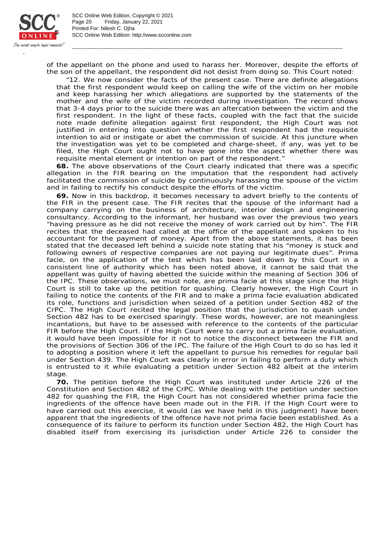

SCC Online Web Edition: http://www.scconline.com Printed For: Nilesh C. Ojha Page 20 Friday, January 22, 2021 SCC Online Web Edition, Copyright © 2021

of the appellant on the phone and used to harass her. Moreover, despite the efforts of the son of the appellant, the respondent did not desist from doing so. This Court noted:

-----------------------------------------------------------------------------------------------------------------------------------------------------------

"12. We now consider the facts of the present case. There are definite allegations that the first respondent would keep on calling the wife of the victim on her mobile and keep harassing her which allegations are supported by the statements of the mother and the wife of the victim recorded during investigation. The record shows that 3-4 days prior to the suicide there was an altercation between the victim and the first respondent. In the light of these facts, coupled with the fact that the suicide note made definite allegation against first respondent, the High Court was not justified in entering into question whether the first respondent had the requisite intention to aid or instigate or abet the commission of suicide. At this juncture when the investigation was yet to be completed and charge-sheet, if any, was yet to be filed, the High Court ought not to have gone into the aspect whether there was requisite mental element or intention on part of the respondent."

**68.** The above observations of the Court clearly indicated that there was a specific allegation in the FIR bearing on the imputation that the respondent had actively facilitated the commission of suicide by continuously harassing the spouse of the victim and in failing to rectify his conduct despite the efforts of the victim.

**69.** Now in this backdrop, it becomes necessary to advert briefly to the contents of the FIR in the present case. The FIR recites that the spouse of the informant had a company carrying on the business of architecture, interior design and engineering consultancy. According to the informant, her husband was over the previous two years "having pressure as he did not receive the money of work carried out by him". The FIR recites that the deceased had called at the office of the appellant and spoken to his accountant for the payment of money. Apart from the above statements, it has been stated that the deceased left behind a suicide note stating that his "money is stuck and following owners of respective companies are not paying our legitimate dues". *Prima facie*, on the application of the test which has been laid down by this Court in a consistent line of authority which has been noted above, it cannot be said that the appellant was guilty of having abetted the suicide within the meaning of Section 306 of the IPC. These observations, we must note, are *prima facie* at this stage since the High Court is still to take up the petition for quashing. Clearly however, the High Court in failing to notice the contents of the FIR and to make a *prima facie* evaluation abdicated its role, functions and jurisdiction when seized of a petition under Section 482 of the CrPC. The High Court recited the legal position that the jurisdiction to quash under Section 482 has to be exercised sparingly. These words, however, are not meaningless incantations, but have to be assessed with reference to the contents of the particular FIR before the High Court. If the High Court were to carry out a *prima facie* evaluation, it would have been impossible for it not to notice the disconnect between the FIR and the provisions of Section 306 of the IPC. The failure of the High Court to do so has led it to adopting a position where it left the appellant to pursue his remedies for regular bail under Section 439. The High Court was clearly in error in failing to perform a duty which is entrusted to it while evaluating a petition under Section 482 albeit at the interim stage.

**70.** The petition before the High Court was instituted under Article 226 of the Constitution and Section 482 of the CrPC. While dealing with the petition under section 482 for quashing the FIR, the High Court has not considered whether *prima facie* the ingredients of the offence have been made out in the FIR. If the High Court were to have carried out this exercise, it would (as we have held in this judgment) have been apparent that the ingredients of the offence have not *prima facie* been established. As a consequence of its failure to perform its function under Section 482, the High Court has disabled itself from exercising its jurisdiction under Article 226 to consider the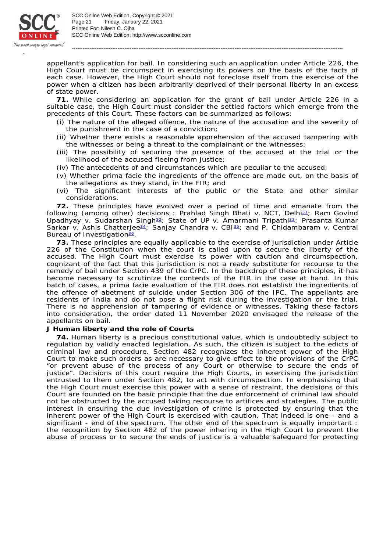

appellant's application for bail. In considering such an application under Article 226, the High Court must be circumspect in exercising its powers on the basis of the facts of each case. However, the High Court should not foreclose itself from the exercise of the power when a citizen has been arbitrarily deprived of their personal liberty in an excess of state power.

-----------------------------------------------------------------------------------------------------------------------------------------------------------

**71.** While considering an application for the grant of bail under Article 226 in a suitable case, the High Court must consider the settled factors which emerge from the precedents of this Court. These factors can be summarized as follows:

- (i) The nature of the alleged offence, the nature of the accusation and the severity of the punishment in the case of a conviction;
- (ii) Whether there exists a reasonable apprehension of the accused tampering with the witnesses or being a threat to the complainant or the witnesses;
- (iii) The possibility of securing the presence of the accused at the trial or the likelihood of the accused fleeing from justice;
- (iv) The antecedents of and circumstances which are peculiar to the accused;
- (v) Whether *prima facie* the ingredients of the offence are made out, on the basis of the allegations as they stand, in the FIR; and
- (vi) The significant interests of the public or the State and other similar considerations.

**72.** These principles have evolved over a period of time and emanate from the following (among other) decisions : *Prahlad Singh Bhati* v. *NCT, Delhi*<sup>31</sup>; *Ram Govind* Upadhyay v. Sudarshan Singh<sup>32</sup>; State of UP v. Amarmani Tripathi<sup>33</sup>; Prasanta Kumar *Sarkar* v. Ashis Chatterjee<sup>34</sup>; Sanjay Chandra v. CBI<sup>35</sup>; and P. Chidambaram v. Central **Bureau of Investigation<sup>36</sup>**.

**73.** These principles are equally applicable to the exercise of jurisdiction under Article 226 of the Constitution when the court is called upon to secure the liberty of the accused. The High Court must exercise its power with caution and circumspection, cognizant of the fact that this jurisdiction is not a ready substitute for recourse to the remedy of bail under Section 439 of the CrPC. In the backdrop of these principles, it has become necessary to scrutinize the contents of the FIR in the case at hand. In this batch of cases, a *prima facie* evaluation of the FIR does not establish the ingredients of the offence of abetment of suicide under Section 306 of the IPC. The appellants are residents of India and do not pose a flight risk during the investigation or the trial. There is no apprehension of tampering of evidence or witnesses. Taking these factors into consideration, the order dated 11 November 2020 envisaged the release of the appellants on bail.

**J Human liberty and the role of Courts**

**74.** Human liberty is a precious constitutional value, which is undoubtedly subject to regulation by validly enacted legislation. As such, the citizen is subject to the edicts of criminal law and procedure. Section 482 recognizes the inherent power of the High Court to make such orders as are necessary to give effect to the provisions of the CrPC "or prevent abuse of the process of any Court or otherwise to secure the ends of justice". Decisions of this court require the High Courts, in exercising the jurisdiction entrusted to them under Section 482, to act with circumspection. In emphasising that the High Court must exercise this power with a sense of restraint, the decisions of this Court are founded on the basic principle that the due enforcement of criminal law should not be obstructed by the accused taking recourse to artifices and strategies. The public interest in ensuring the due investigation of crime is protected by ensuring that the inherent power of the High Court is exercised with caution. That indeed is one - and a significant - end of the spectrum. The other end of the spectrum is equally important : the recognition by Section 482 of the power inhering in the High Court to prevent the abuse of process or to secure the ends of justice is a valuable safeguard for protecting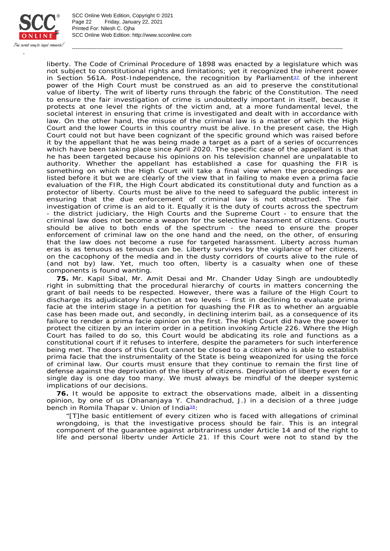

SCC Online Web Edition: http://www.scconline.com Printed For: Nilesh C. Ojha Page 22 Friday, January 22, 2021 SCC Online Web Edition, Copyright © 2021

liberty. The Code of Criminal Procedure of 1898 was enacted by a legislature which was not subject to constitutional rights and limitations; yet it recognized the inherent power in Section 561A. Post-Independence, the recognition by Parliament $32$  of the inherent power of the High Court must be construed as an aid to preserve the constitutional value of liberty. The writ of liberty runs through the fabric of the Constitution. The need to ensure the fair investigation of crime is undoubtedly important in itself, because it protects at one level the rights of the victim and, at a more fundamental level, the societal interest in ensuring that crime is investigated and dealt with in accordance with law. On the other hand, the misuse of the criminal law is a matter of which the High Court and the lower Courts in this country must be alive. In the present case, the High Court could not but have been cognizant of the specific ground which was raised before it by the appellant that he was being made a target as a part of a series of occurrences which have been taking place since April 2020. The specific case of the appellant is that he has been targeted because his opinions on his television channel are unpalatable to authority. Whether the appellant has established a case for quashing the FIR is something on which the High Court will take a final view when the proceedings are listed before it but we are clearly of the view that in failing to make even a *prima facie* evaluation of the FIR, the High Court abdicated its constitutional duty and function as a protector of liberty. Courts must be alive to the need to safeguard the public interest in ensuring that the due enforcement of criminal law is not obstructed. The fair investigation of crime is an aid to it. Equally it is the duty of courts across the spectrum - the district judiciary, the High Courts and the Supreme Court - to ensure that the criminal law does not become a weapon for the selective harassment of citizens. Courts should be alive to both ends of the spectrum - the need to ensure the proper enforcement of criminal law on the one hand and the need, on the other, of ensuring that the law does not become a ruse for targeted harassment. Liberty across human eras is as tenuous as tenuous can be. Liberty survives by the vigilance of her citizens, on the cacophony of the media and in the dusty corridors of courts alive to the rule of (and not by) law. Yet, much too often, liberty is a casualty when one of these components is found wanting.

-----------------------------------------------------------------------------------------------------------------------------------------------------------

**75.** Mr. Kapil Sibal, Mr. Amit Desai and Mr. Chander Uday Singh are undoubtedly right in submitting that the procedural hierarchy of courts in matters concerning the grant of bail needs to be respected. However, there was a failure of the High Court to discharge its adjudicatory function at two levels - first in declining to evaluate *prima facie* at the interim stage in a petition for quashing the FIR as to whether an arguable case has been made out, and secondly, in declining interim bail, as a consequence of its failure to render a *prima facie* opinion on the first. The High Court did have the power to protect the citizen by an interim order in a petition invoking Article 226. Where the High Court has failed to do so, this Court would be abdicating its role and functions as a constitutional court if it refuses to interfere, despite the parameters for such interference being met. The doors of this Court cannot be closed to a citizen who is able to establish *prima facie* that the instrumentality of the State is being weaponized for using the force of criminal law. Our courts must ensure that they continue to remain the first line of defense against the deprivation of the liberty of citizens. Deprivation of liberty even for a single day is one day too many. We must always be mindful of the deeper systemic implications of our decisions.

**76.** It would be apposite to extract the observations made, albeit in a dissenting opinion, by one of us (Dhananjaya Y. Chandrachud, J.) in a decision of a three judge bench in *Romila Thapar* v. Union of India<sup>38</sup>:

"[T]he basic entitlement of every citizen who is faced with allegations of criminal wrongdoing, is that the investigative process should be fair. This is an integral component of the guarantee against arbitrariness under Article 14 and of the right to life and personal liberty under Article 21. If this Court were not to stand by the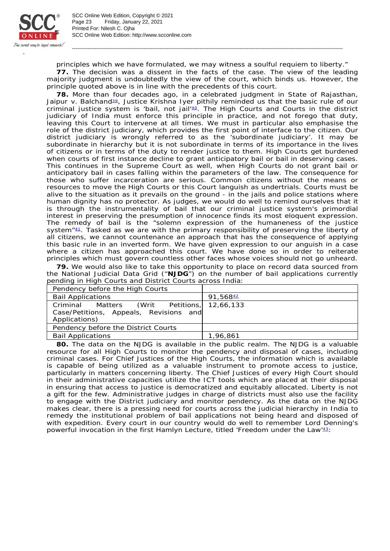

SCC Online Web Edition: http://www.scconline.com Printed For: Nilesh C. Ojha Page 23 Friday, January 22, 2021 SCC Online Web Edition, Copyright © 2021

principles which we have formulated, we may witness a soulful requiem to liberty." **77.** The decision was a dissent in the facts of the case. The view of the leading majority judgment is undoubtedly the view of the court, which binds us. However, the principle quoted above is in line with the precedents of this court.

-----------------------------------------------------------------------------------------------------------------------------------------------------------

**78.** More than four decades ago, in a celebrated judgment in *State of Rajasthan,*  Jaipur v. Balchand<sup>89</sup>, Justice Krishna Iyer pithily reminded us that the basic rule of our criminal justice system is 'bail, not jail' $40$ . The High Courts and Courts in the district judiciary of India must enforce this principle in practice, and not forego that duty, leaving this Court to intervene at all times. We must in particular also emphasise the role of the district judiciary, which provides the first point of interface to the citizen. Our district judiciary is wrongly referred to as the 'subordinate judiciary'. It may be subordinate in hierarchy but it is not subordinate in terms of its importance in the lives of citizens or in terms of the duty to render justice to them. High Courts get burdened when courts of first instance decline to grant anticipatory bail or bail in deserving cases. This continues in the Supreme Court as well, when High Courts do not grant bail or anticipatory bail in cases falling within the parameters of the law. The consequence for those who suffer incarceration are serious. Common citizens without the means or resources to move the High Courts or this Court languish as undertrials. Courts must be alive to the situation as it prevails on the ground - in the jails and police stations where human dignity has no protector. As judges, we would do well to remind ourselves that it is through the instrumentality of bail that our criminal justice system's primordial interest in preserving the presumption of innocence finds its most eloquent expression. The remedy of bail is the "solemn expression of the humaneness of the justice system $"41$ . Tasked as we are with the primary responsibility of preserving the liberty of all citizens, we cannot countenance an approach that has the consequence of applying this basic rule in an inverted form. We have given expression to our anguish in a case where a citizen has approached this court. We have done so in order to reiterate principles which must govern countless other faces whose voices should not go unheard.

**79.** We would also like to take this opportunity to place on record data sourced from the National Judicial Data Grid ("**NJDG**") on the number of bail applications currently pending in High Courts and District Courts across India:

| Pendency before the High Courts             |                      |
|---------------------------------------------|----------------------|
| <b>Bail Applications</b>                    | 91,568 <del>42</del> |
| Criminal Matters (Writ Petitions, 12,66,133 |                      |
| Case/Petitions, Appeals, Revisions and      |                      |
| Applications)                               |                      |
| Pendency before the District Courts         |                      |
| <b>Bail Applications</b>                    | 1,96,861             |

**80.** The data on the NJDG is available in the public realm. The NJDG is a valuable resource for all High Courts to monitor the pendency and disposal of cases, including criminal cases. For Chief Justices of the High Courts, the information which is available is capable of being utilized as a valuable instrument to promote access to justice, particularly in matters concerning liberty. The Chief Justices of every High Court should in their administrative capacities utilize the ICT tools which are placed at their disposal in ensuring that access to justice is democratized and equitably allocated. Liberty is not a gift for the few. Administrative judges in charge of districts must also use the facility to engage with the District judiciary and monitor pendency. As the data on the NJDG makes clear, there is a pressing need for courts across the judicial hierarchy in India to remedy the institutional problem of bail applications not being heard and disposed of with expedition. Every court in our country would do well to remember Lord Denning's powerful invocation in the first Hamlyn Lecture, titled 'Freedom under the Law<sup>43</sup>: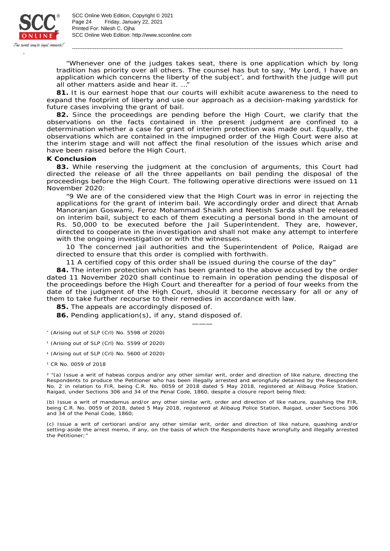

"Whenever one of the judges takes seat, there is one application which by long tradition has priority over all others. The counsel has but to say, 'My Lord, I have an application which concerns the liberty of the subject', and forthwith the judge will put all other matters aside and hear it. …"

-----------------------------------------------------------------------------------------------------------------------------------------------------------

**81.** It is our earnest hope that our courts will exhibit acute awareness to the need to expand the footprint of liberty and use our approach as a decision-making yardstick for future cases involving the grant of bail.

**82.** Since the proceedings are pending before the High Court, we clarify that the observations on the facts contained in the present judgment are confined to a determination whether a case for grant of interim protection was made out. Equally, the observations which are contained in the impugned order of the High Court were also at the interim stage and will not affect the final resolution of the issues which arise and have been raised before the High Court.

## **K Conclusion**

**83.** While reserving the judgment at the conclusion of arguments, this Court had directed the release of all the three appellants on bail pending the disposal of the proceedings before the High Court. The following operative directions were issued on 11 November 2020:

"9 We are of the considered view that the High Court was in error in rejecting the applications for the grant of interim bail. We accordingly order and direct that Arnab Manoranjan Goswami, Feroz Mohammad Shaikh and Neetish Sarda shall be released on interim bail, subject to each of them executing a personal bond in the amount of Rs. 50,000 to be executed before the Jail Superintendent. They are, however, directed to cooperate in the investigation and shall not make any attempt to interfere with the ongoing investigation or with the witnesses.

10 The concerned jail authorities and the Superintendent of Police, Raigad are directed to ensure that this order is complied with forthwith.

11 A certified copy of this order shall be issued during the course of the day"

**84.** The interim protection which has been granted to the above accused by the order dated 11 November 2020 shall continue to remain in operation pending the disposal of the proceedings before the High Court and thereafter for a period of four weeks from the date of the judgment of the High Court, should it become necessary for all or any of them to take further recourse to their remedies in accordance with law.

———

**85.** The appeals are accordingly disposed of.

**86.** Pending application(s), if any, stand disposed of.

- $*$  (Arising out of SLP (Crl) No. 5598 of 2020)
- $<sup>†</sup>$  (Arising out of SLP (Crl) No. 5599 of 2020)</sup>
- (Arising out of SLP (Crl) No. 5600 of 2020) ‡
- <sup>1</sup> CR No. 0059 of 2018

 $2$  "(a) Issue a writ of habeas corpus and/or any other similar writ, order and direction of like nature, directing the Respondents to produce the Petitioner who has been illegally arrested and wrongfully detained by the Respondent No. 2 in relation to FIR, being C.R. No. 0059 of 2018 dated 5 May 2018, registered at Alibaug Police Station, Raigad, under Sections 306 and 34 of the Penal Code, 1860, despite a closure report being filed;

(b) Issue a writ of mandamus and/or any other similar writ, order and direction of like nature, quashing the FIR, being C.R. No. 0059 of 2018, dated 5 May 2018, registered at Alibaug Police Station, Raigad, under Sections 306 and 34 of the Penal Code, 1860;

(c) Issue a writ of certiorari and/or any other similar writ, order and direction of like nature, quashing and/or setting-aside the arrest memo, if any, on the basis of which the Respondents have wrongfully and illegally arrested the Petitioner;"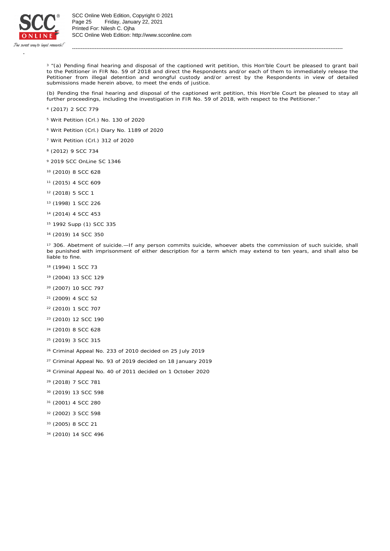

<sup>3</sup> "(a) Pending final hearing and disposal of the captioned writ petition, this Hon'ble Court be pleased to grant bail to the Petitioner in FIR No. 59 of 2018 and direct the Respondents and/or each of them to immediately release the Petitioner from illegal detention and wrongful custody and/or arrest by the Respondents in view of detailed submissions made herein above, to meet the ends of justice.

-----------------------------------------------------------------------------------------------------------------------------------------------------------

(b) Pending the final hearing and disposal of the captioned writ petition, this Hon'ble Court be pleased to stay all further proceedings, including the investigation in FIR No. 59 of 2018, with respect to the Petitioner.

- (2017) 2 SCC 779 4
- <sup>5</sup> Writ Petition (Crl.) No. 130 of 2020
- Writ Petition (Crl.) Diary No. 1189 of 2020 6
- <sup>7</sup> Writ Petition (Crl.) 312 of 2020
- (2012) 9 SCC 734 8
- <sup>9</sup> 2019 SCC OnLine SC 1346
- (2010) 8 SCC 628 10
- (2015) 4 SCC 609 11
- $12$  (2018) 5 SCC 1
- (1998) 1 SCC 226 13
- <sup>14</sup> (2014) 4 SCC 453
- <sup>15</sup> 1992 Supp (1) SCC 335
- <sup>16</sup> (2019) 14 SCC 350

<sup>17</sup> 306. Abetment of suicide.—If any person commits suicide, whoever abets the commission of such suicide, shall be punished with imprisonment of either description for a term which may extend to ten years, and shall also be liable to fine.

- <sup>18</sup> (1994) 1 SCC 73
- (2004) 13 SCC 129 19
- (2007) 10 SCC 797 20
- (2009) 4 SCC 52 21
- (2010) 1 SCC 707 22
- (2010) 12 SCC 190 23
- (2010) 8 SCC 628 24
- (2019) 3 SCC 315 25
- <sup>26</sup> Criminal Appeal No. 233 of 2010 decided on 25 July 2019
- <sup>27</sup> Criminal Appeal No. 93 of 2019 decided on 18 January 2019
- <sup>28</sup> Criminal Appeal No. 40 of 2011 decided on 1 October 2020
- (2018) 7 SCC 781 29
- (2019) 13 SCC 598 30
- (2001) 4 SCC 280 31
- (2002) 3 SCC 598 32
- (2005) 8 SCC 21 33
- (2010) 14 SCC 496 34